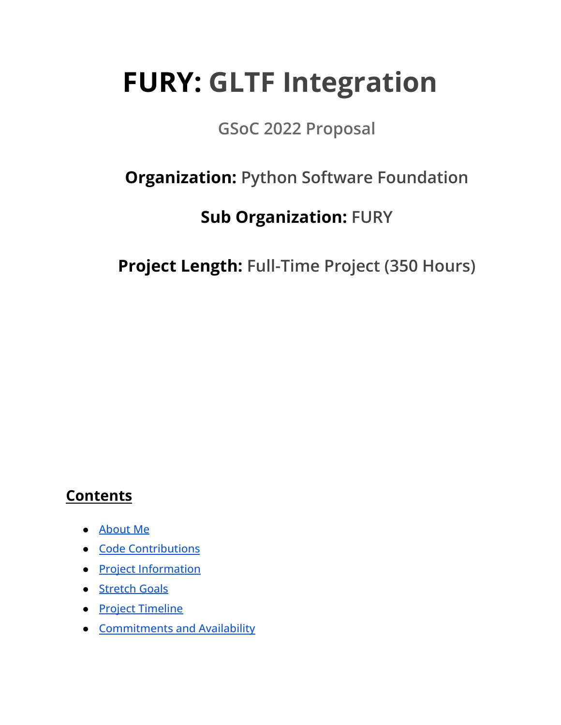# **FURY: GLTF Integration**

## **GSoC 2022 Proposal**

## **Organization: Python Software Foundation**

## **Sub Organization: FURY**

**Project Length: Full-Time Project (350 Hours)**

### **Contents**

- [About Me](#page-1-0)
- [Code Contributions](#page-2-0)
- [Project Information](#page-5-0)
- [Stretch Goals](#page-13-0)
- [Project Timeline](#page-14-0)
- [Commitments and Availability](#page-16-0)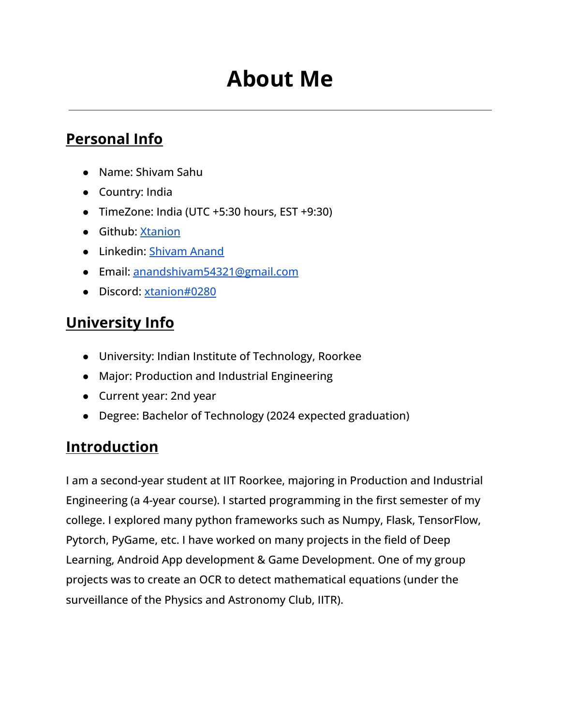## **About Me**

### <span id="page-1-0"></span>**Personal Info**

- Name: Shivam Sahu
- Country: India
- TimeZone: India (UTC +5:30 hours, EST +9:30)
- Github: [Xtanion](https://github.com/xtanion)
- Linkedin: [Shivam Anand](https://www.linkedin.com/in/xtanion/)
- Email: [anandshivam54321@gmail.com](mailto:anandshivam54321@gmail.com)
- Discord: [xtanion#0280](https://discordapp.com/users/710394924461457468/)

## **University Info**

- University: Indian Institute of Technology, Roorkee
- Major: Production and Industrial Engineering
- Current year: 2nd year
- Degree: Bachelor of Technology (2024 expected graduation)

## **Introduction**

I am a second-year student at IIT Roorkee, majoring in Production and Industrial Engineering (a 4-year course). I started programming in the first semester of my college. I explored many python frameworks such as Numpy, Flask, TensorFlow, Pytorch, PyGame, etc. I have worked on many projects in the field of Deep Learning, Android App development & Game Development. One of my group projects was to create an OCR to detect mathematical equations (under the surveillance of the Physics and Astronomy Club, IITR).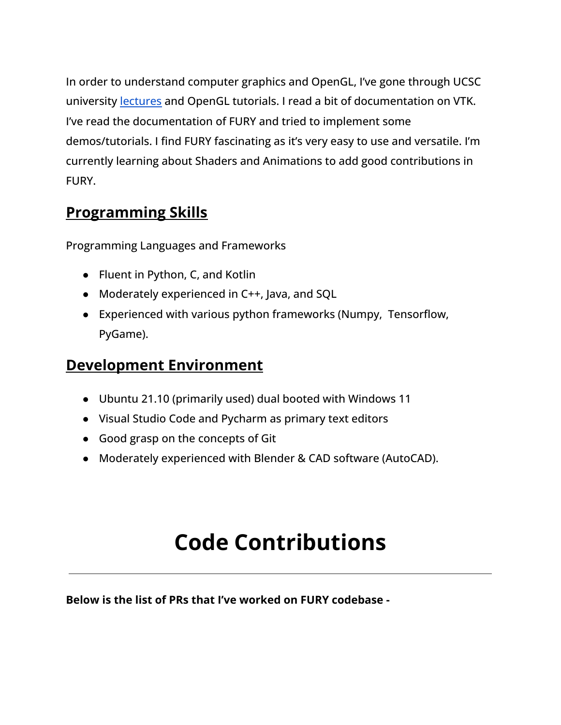In order to understand computer graphics and OpenGL, I've gone through UCSC university [lectures](https://www.youtube.com/channel/UCSynd9Z5RdIpKfvTCITV_8A/videos) and OpenGL tutorials. I read a bit of documentation on VTK. I've read the documentation of FURY and tried to implement some demos/tutorials. I find FURY fascinating as it's very easy to use and versatile. I'm currently learning about Shaders and Animations to add good contributions in FURY.

### **Programming Skills**

Programming Languages and Frameworks

- Fluent in Python, C, and Kotlin
- Moderately experienced in C++, Java, and SQL
- Experienced with various python frameworks (Numpy, Tensorflow, PyGame).

## **Development Environment**

- Ubuntu 21.10 (primarily used) dual booted with Windows 11
- Visual Studio Code and Pycharm as primary text editors
- Good grasp on the concepts of Git
- Moderately experienced with Blender & CAD software (AutoCAD).

## **Code Contributions**

<span id="page-2-0"></span>**Below is the list of PRs that I've worked on FURY codebase -**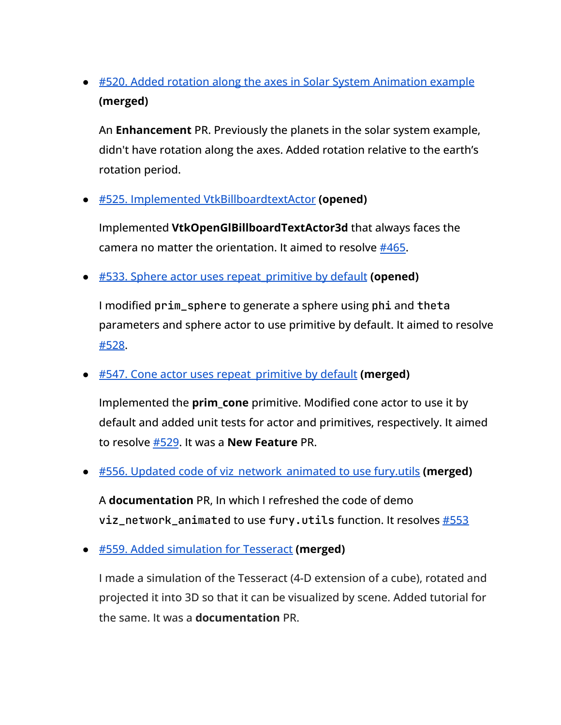● [#520. Added rotation along the axes in Solar System Animation example](https://github.com/fury-gl/fury/pull/520) **(merged)**

An **Enhancement** PR. Previously the planets in the solar system example, didn't have rotation along the axes. Added rotation relative to the earth's rotation period.

● [#525. Implemented VtkBillboardtextActor](https://github.com/fury-gl/fury/pull/525) **(opened)**

Implemented **VtkOpenGlBillboardTextActor3d** that always faces the camera no matter the orientation. It aimed to resolve [#465.](https://github.com/fury-gl/fury/issues/465)

● [#533. Sphere actor uses repeat\\_primitive by default](https://github.com/fury-gl/fury/pull/533) **(opened)**

I modified prim\_sphere to generate a sphere using phi and theta parameters and sphere actor to use primitive by default. It aimed to resolve [#528](https://github.com/fury-gl/fury/issues/528).

● [#547. Cone actor uses repeat\\_primitive by default](https://github.com/fury-gl/fury/pull/547) **(merged)**

Implemented the **prim cone** primitive. Modified cone actor to use it by default and added unit tests for actor and primitives, respectively. It aimed to resolve [#529](https://github.com/fury-gl/fury/issues/529). It was a **New Feature** PR.

● [#556. Updated code of viz\\_network\\_animated to use fury.utils](https://github.com/fury-gl/fury/pull/556) **(merged)**

A **documentation** PR, In which I refreshed the code of demo viz\_network\_animated to use fury.utils function. It resolves [#553](https://github.com/fury-gl/fury/issues/553)

● [#559. Added simulation for Tesseract](https://github.com/fury-gl/fury/pull/559) **(merged)**

I made a simulation of the Tesseract (4-D extension of a cube), rotated and projected it into 3D so that it can be visualized by scene. Added tutorial for the same. It was a **documentation** PR.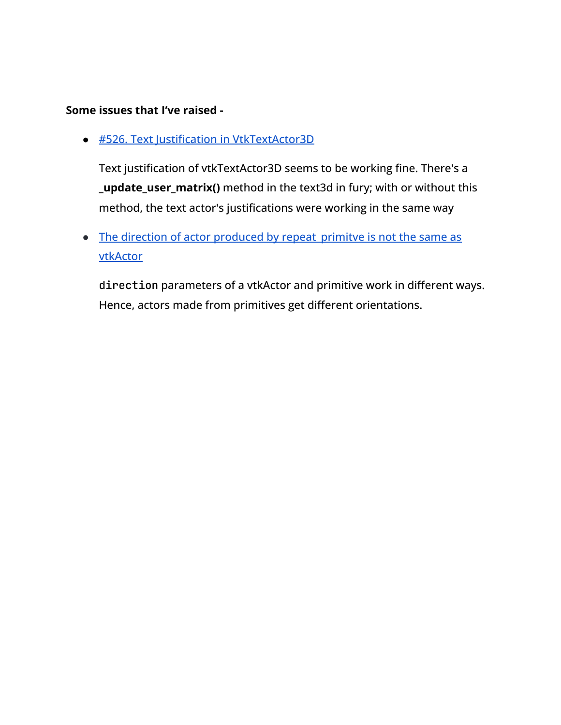#### **Some issues that I've raised -**

● [#526. Text Justification in VtkTextActor3D](https://github.com/fury-gl/fury/pull/526)

Text justification of vtkTextActor3D seems to be working fine. There's a **\_update\_user\_matrix()** method in the text3d in fury; with or without this method, the text actor's justifications were working in the same way

• The direction of actor produced by repeat primitve is not the same as [vtkActor](https://github.com/fury-gl/fury/issues/531#issuecomment-1038142712)

direction parameters of a vtkActor and primitive work in different ways. Hence, actors made from primitives get different orientations.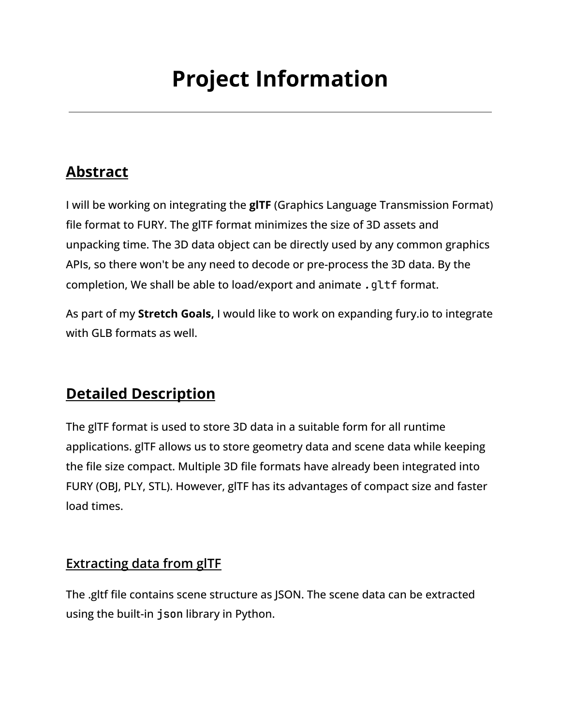## **Project Information**

## <span id="page-5-0"></span>**Abstract**

I will be working on integrating the **glTF** (Graphics Language Transmission Format) file format to FURY. The glTF format minimizes the size of 3D assets and unpacking time. The 3D data object can be directly used by any common graphics APIs, so there won't be any need to decode or pre-process the 3D data. By the completion, We shall be able to load/export and animate *.*gltf format.

As part of my **Stretch Goals,** I would like to work on expanding fury.io to integrate with GLB formats as well.

## **Detailed Description**

The glTF format is used to store 3D data in a suitable form for all runtime applications. glTF allows us to store geometry data and scene data while keeping the file size compact. Multiple 3D file formats have already been integrated into FURY (OBJ, PLY, STL). However, glTF has its advantages of compact size and faster load times.

#### **Extracting data from glTF**

The .gltf file contains scene structure as JSON. The scene data can be extracted using the built-in json library in Python.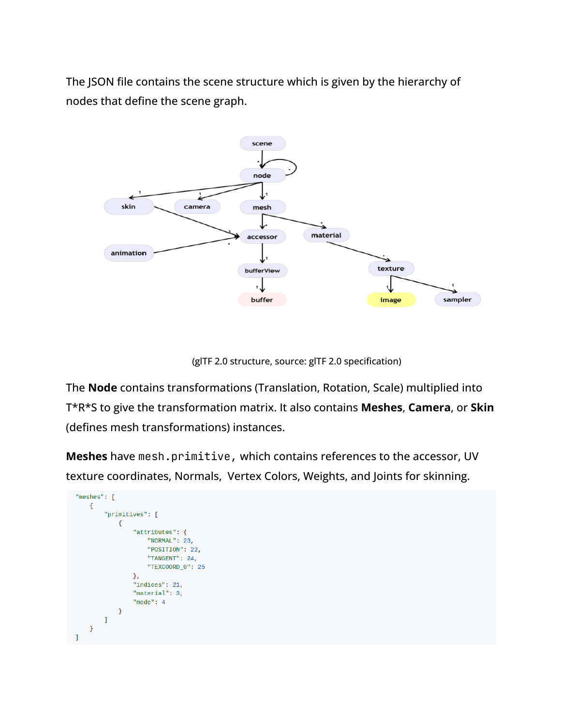The JSON file contains the scene structure which is given by the hierarchy of nodes that define the scene graph.



(glTF 2.0 structure, source: glTF 2.0 specification)

The **Node** contains transformations (Translation, Rotation, Scale) multiplied into T\*R\*S to give the transformation matrix. It also contains **Meshes**, **Camera**, or **Skin** (defines mesh transformations) instances.

**Meshes** have mesh.primitive, which contains references to the accessor, UV texture coordinates, Normals, Vertex Colors, Weights, and Joints for skinning.

```
"meshes": [
     \mathbf{f}"primitives": [
               \{"attributes": {
                         "NORMAL": 23,
                         "POSITION": 22,
                         "TANGENT": 24,
                         "TEXCOORD_0": 25
                    λ.
                    "indices": 21,
                    "material": 3,
                    "mode": 4\mathcal{F}\mathbf{I}\mathcal Yı
```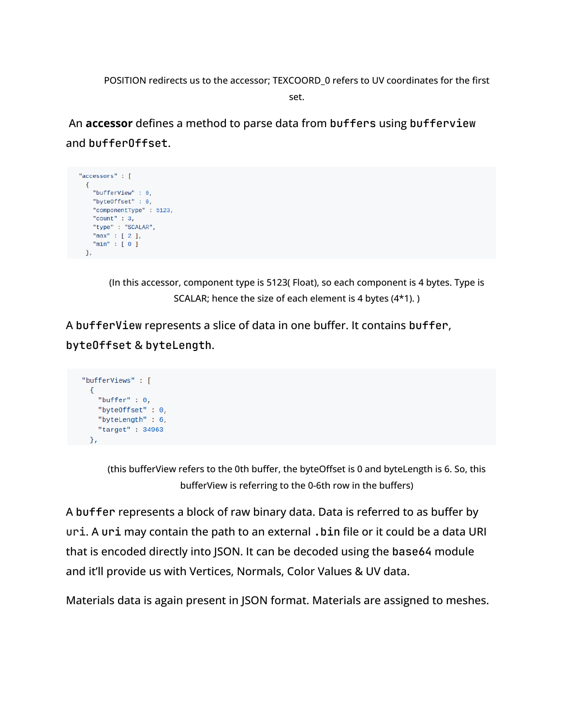POSITION redirects us to the accessor; TEXCOORD\_0 refers to UV coordinates for the first set.

An **accessor** defines a method to parse data from buffers using bufferview and bufferOffset.



(In this accessor, component type is 5123( Float), so each component is 4 bytes. Type is SCALAR; hence the size of each element is 4 bytes (4\*1). )

A bufferView represents a slice of data in one buffer. It contains buffer, byteOffset & byteLength.

```
"bufferViews" : [
 \mathcal{L}"buffer" : \theta,
   "byteOffset": 0,
   "byteLength" : 6,
    "target" : 34963
 λ,
```
(this bufferView refers to the 0th buffer, the byteOffset is 0 and byteLength is 6. So, this bufferView is referring to the 0-6th row in the buffers)

A buffer represents a block of raw binary data. Data is referred to as buffer by uri. A uri may contain the path to an external .bin file or it could be a data URI that is encoded directly into JSON. It can be decoded using the base64 module and it'll provide us with Vertices, Normals, Color Values & UV data.

Materials data is again present in JSON format. Materials are assigned to meshes.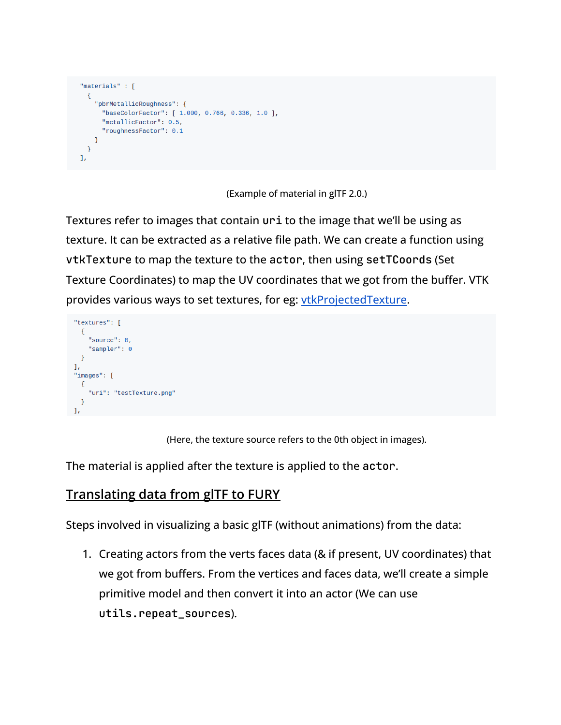```
"materials" : [
  \{"pbrMetallicRoughness": {
       "baseColorFactor": [ 1.000, 0.766, 0.336, 1.0 ],
       "metallicFactor": 0.5,
       "roughnessFactor": 0.1
    \rightarrow\mathcal{F}\mathbf{1}_{\ell}
```
(Example of material in glTF 2.0.)

Textures refer to images that contain uri to the image that we'll be using as texture. It can be extracted as a relative file path. We can create a function using vtkTexture to map the texture to the actor, then using setTCoords (Set Texture Coordinates) to map the UV coordinates that we got from the buffer. VTK provides various ways to set textures, for eg: [vtkProjectedTexture](https://vtk.org/doc/nightly/html/classvtkProjectedTexture.html).

```
"textures": [
  \left\{ \right."source": 0,
      "sampler": 0
  \mathcal{F}\mathbf{1}_{\ell}"images": [
  \{"uri": "testTexture.png"
  \mathcal{F}\mathbf{1}
```
(Here, the texture source refers to the 0th object in images).

The material is applied after the texture is applied to the actor.

#### **Translating data from glTF to FURY**

Steps involved in visualizing a basic glTF (without animations) from the data:

1. Creating actors from the verts faces data (& if present, UV coordinates) that we got from buffers. From the vertices and faces data, we'll create a simple primitive model and then convert it into an actor (We can use utils.repeat\_sources).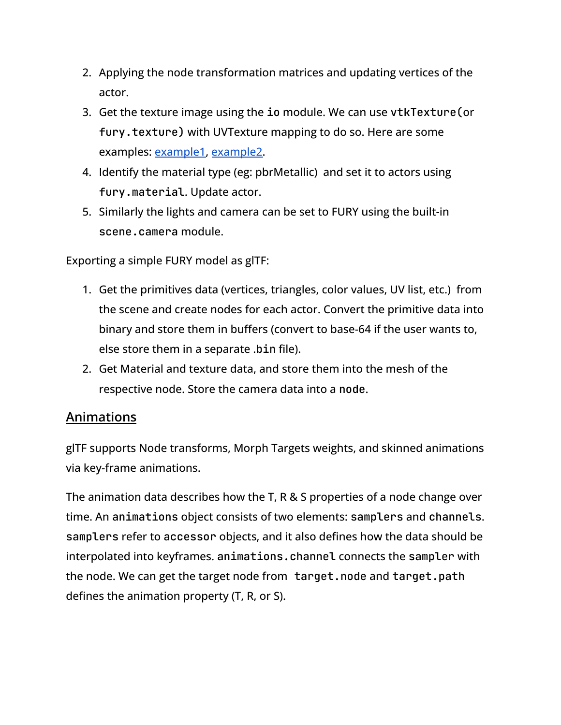- 2. Applying the node transformation matrices and updating vertices of the actor.
- 3. Get the texture image using the io module. We can use vtkTexture(or fury.texture) with UVTexture mapping to do so. Here are some examples: [example1,](https://kitware.github.io/vtk-examples/site/Cxx/Texture/ProjectedTexture/) [example2.](http://scylardor.fr/2013/05/06/making-multi-texturing-work-with-vtk/)
- 4. Identify the material type (eg: pbrMetallic) and set it to actors using fury.material. Update actor.
- 5. Similarly the lights and camera can be set to FURY using the built-in scene.camera module.

Exporting a simple FURY model as glTF:

- 1. Get the primitives data (vertices, triangles, color values, UV list, etc.) from the scene and create nodes for each actor. Convert the primitive data into binary and store them in buffers (convert to base-64 if the user wants to, else store them in a separate .bin file).
- 2. Get Material and texture data, and store them into the mesh of the respective node. Store the camera data into a node.

#### **Animations**

glTF supports Node transforms, Morph Targets weights, and skinned animations via key-frame animations.

The animation data describes how the T, R & S properties of a node change over time. An animations object consists of two elements: samplers and channels. samplers refer to accessor objects, and it also defines how the data should be interpolated into keyframes. animations.channel connects the sampler with the node. We can get the target node from target.node and target.path defines the animation property (T, R, or S).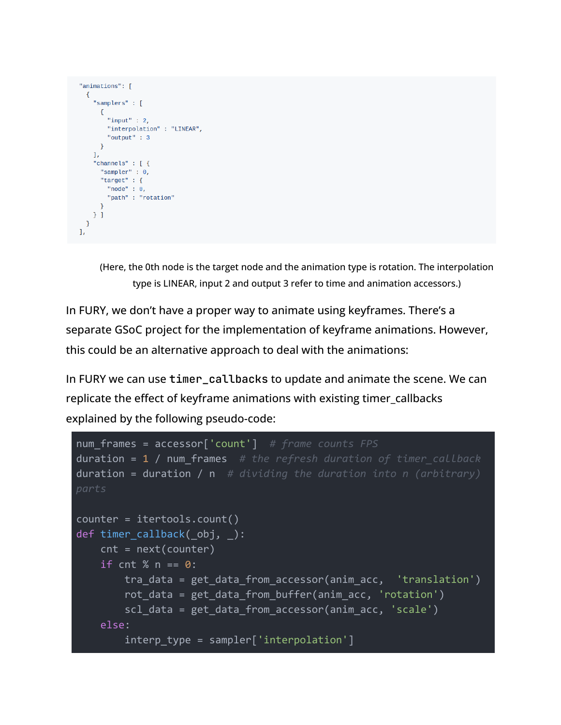```
"animations": [
  \left\{ \right."samplers" : [
       \{"input" :: 2,"interpolation" : "LINEAR",
         "output" : 3
      \}\mathbf{1}"channels" : [ {
       "sampler" : 0,
      "target" : \{"node": \theta,
         "path" :: "rotation"\mathcal{F}\}]
 \mathcal{F}\mathbf{1},
```
(Here, the 0th node is the target node and the animation type is rotation. The interpolation type is LINEAR, input 2 and output 3 refer to time and animation accessors.)

In FURY, we don't have a proper way to animate using keyframes. There's a separate GSoC project for the implementation of keyframe animations. However, this could be an alternative approach to deal with the animations:

In FURY we can use timer\_callbacks to update and animate the scene. We can replicate the effect of keyframe animations with existing timer\_callbacks explained by the following pseudo-code:

```
num_frames = accessor['count'] # frame counts FPS
duration = 1 / num_frames # the refresh duration of timer_callback
duration = duration / n # dividing the duration into n (arbitrary)
parts
counter = itertools.count()
def timer callback( obj, ):
   cnt = next(counter)
   if cnt % n == 0:
       tra data = get data from accessor(anim_acc, 'translation')
        rot data = get data from buffer(anim_acc, 'rotation')
        scl data = get data from accessor(anim acc, 'scale')
   else:
        interp_type = sampler['interpolation']
```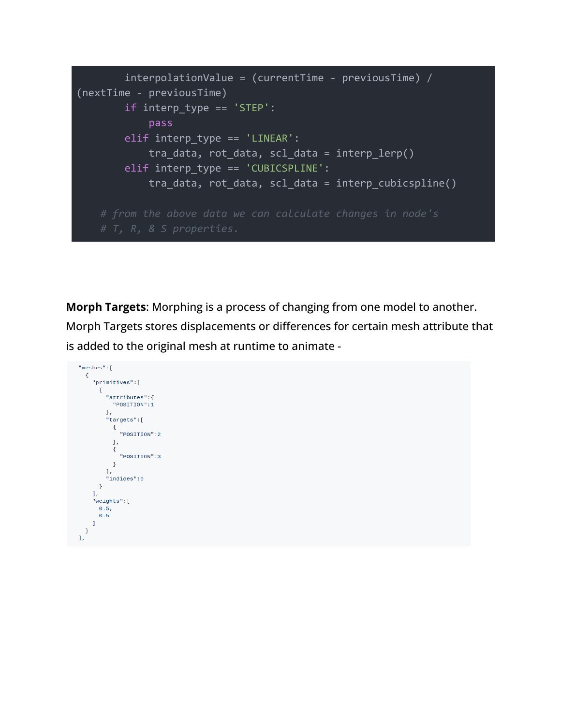```
interpolationValue = (currentTime - previousTime) /(nextTime - previousTime)
       if interp type == 'STEP':
           pass
       elif interp type == 'LINEAR':tra data, rot data, scl data = interp lerp()elif interp_type == 'CUBICSPLINE':tra_data, rot_data, scl_data = interp_cubicspline()
```
**Morph Targets**: Morphing is a process of changing from one model to another. Morph Targets stores displacements or differences for certain mesh attribute that is added to the original mesh at runtime to animate -

```
"meshes":[
   {<br> "primitives":[ \ell{<br>"attributes":{<br>"POSITION":1
               "POSITION":1
            \mathcal{F}"targets":[
               {<br>"POSITION":2<br>}
               \},
               \{"POSITION":3
               \mathcal{F}\mathbf{1}"indices":0
         \mathcal{F}\mathbf{I}"weights":[
        0.5,\pmb{0.5}\mathbf{1}\rightarrow\overline{1}
```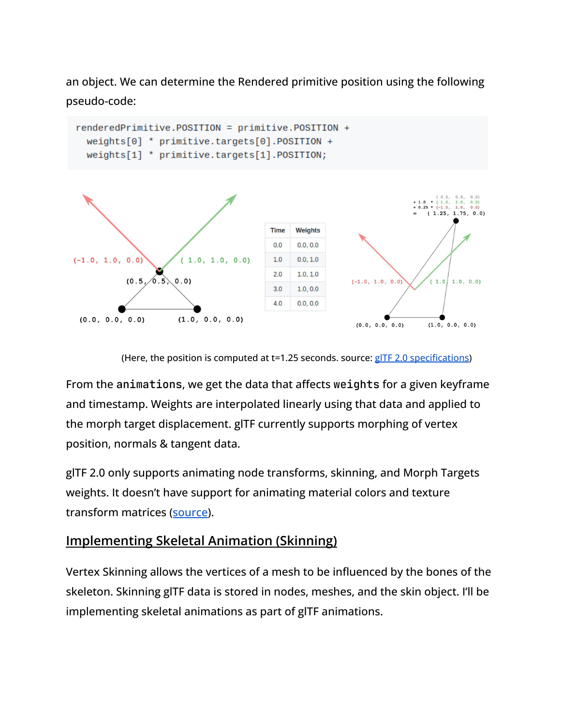an object. We can determine the Rendered primitive position using the following pseudo-code:





(Here, the position is computed at t=1.25 seconds. source: gITF 2.0 [specifications](https://github.com/KhronosGroup/glTF-Tutorials/blob/master/gltfTutorial/gltfTutorial_018_MorphTargets.md#morph-targets))

From the animations, we get the data that affects weights for a given keyframe and timestamp. Weights are interpolated linearly using that data and applied to the morph target displacement. glTF currently supports morphing of vertex position, normals & tangent data.

glTF 2.0 only supports animating node transforms, skinning, and Morph Targets weights. It doesn't have support for animating material colors and texture transform matrices ([source\)](https://github.com/KhronosGroup/glTF/tree/9356622f7d7ace7b2ad5b838c37c1d0084b67969/specification/2.0#animations).

### **Implementing Skeletal Animation (Skinning)**

Vertex Skinning allows the vertices of a mesh to be influenced by the bones of the skeleton. Skinning glTF data is stored in nodes, meshes, and the skin object. I'll be implementing skeletal animations as part of glTF animations.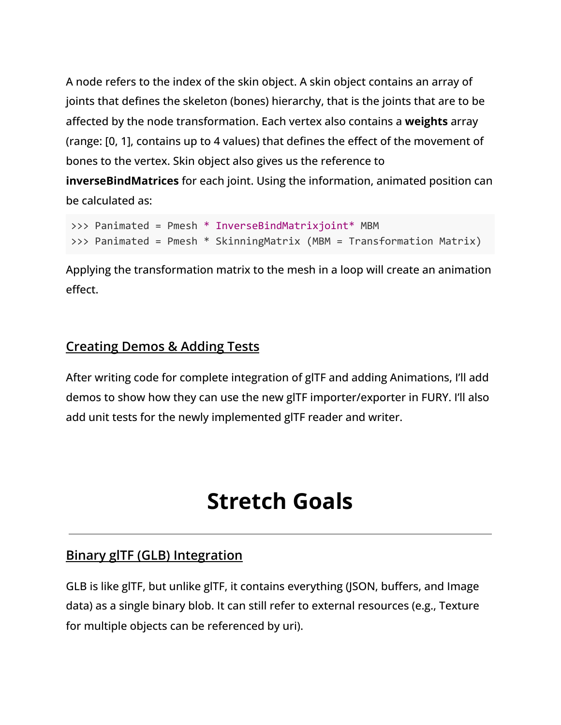A node refers to the index of the skin object. A skin object contains an array of joints that defines the skeleton (bones) hierarchy, that is the joints that are to be affected by the node transformation. Each vertex also contains a **weights** array (range: [0, 1], contains up to 4 values) that defines the effect of the movement of bones to the vertex. Skin object also gives us the reference to

**inverseBindMatrices** for each joint. Using the information, animated position can be calculated as:

```
>>> Panimated = Pmesh * InverseBindMatrixjoint* MBM
>>> Panimated = Pmesh * SkinningMatrix (MBM = Transformation Matrix)
```
Applying the transformation matrix to the mesh in a loop will create an animation effect.

#### **Creating Demos & Adding Tests**

After writing code for complete integration of glTF and adding Animations, I'll add demos to show how they can use the new glTF importer/exporter in FURY. I'll also add unit tests for the newly implemented glTF reader and writer.

## **Stretch Goals**

#### <span id="page-13-0"></span>**Binary glTF (GLB) Integration**

GLB is like glTF, but unlike glTF, it contains everything (JSON, buffers, and Image data) as a single binary blob. It can still refer to external resources (e.g., Texture for multiple objects can be referenced by uri).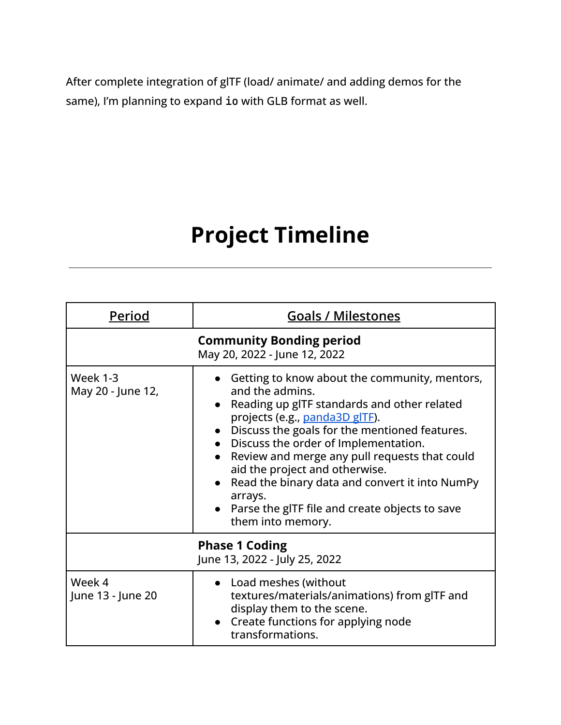After complete integration of glTF (load/ animate/ and adding demos for the same), I'm planning to expand io with GLB format as well.

## **Project Timeline**

<span id="page-14-0"></span>

| Period                               | <b>Goals / Milestones</b>                                                                                                                                                                                                                                                                                                                                                                                                                                                                     |
|--------------------------------------|-----------------------------------------------------------------------------------------------------------------------------------------------------------------------------------------------------------------------------------------------------------------------------------------------------------------------------------------------------------------------------------------------------------------------------------------------------------------------------------------------|
|                                      | <b>Community Bonding period</b><br>May 20, 2022 - June 12, 2022                                                                                                                                                                                                                                                                                                                                                                                                                               |
| <b>Week 1-3</b><br>May 20 - June 12, | Getting to know about the community, mentors,<br>and the admins.<br>Reading up gITF standards and other related<br>$\bullet$<br>projects (e.g., panda3D glTF).<br>• Discuss the goals for the mentioned features.<br>Discuss the order of Implementation.<br>Review and merge any pull requests that could<br>aid the project and otherwise.<br>Read the binary data and convert it into NumPy<br>$\bullet$<br>arrays.<br>Parse the gITF file and create objects to save<br>them into memory. |
|                                      | <b>Phase 1 Coding</b><br>June 13, 2022 - July 25, 2022                                                                                                                                                                                                                                                                                                                                                                                                                                        |
| Week 4<br>June 13 - June 20          | • Load meshes (without<br>textures/materials/animations) from gITF and<br>display them to the scene.<br>Create functions for applying node<br>$\bullet$<br>transformations.                                                                                                                                                                                                                                                                                                                   |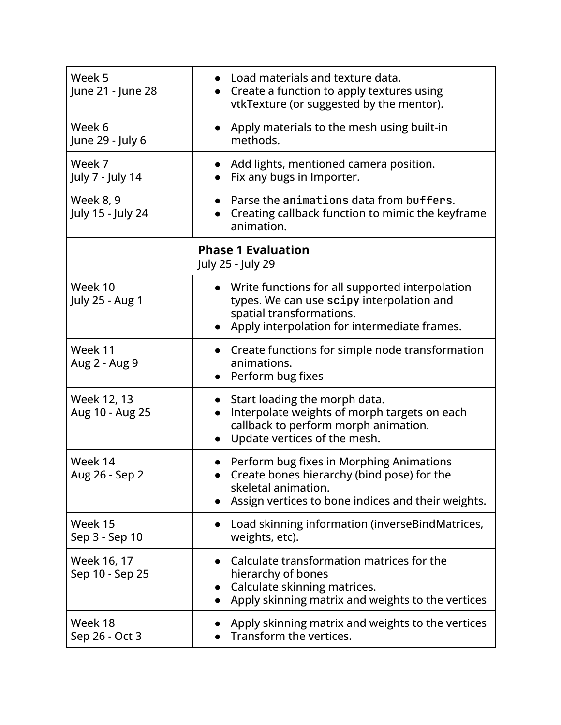| Week 5<br>June 21 - June 28    | Load materials and texture data.<br>Create a function to apply textures using<br>$\bullet$<br>vtkTexture (or suggested by the mentor).                                     |
|--------------------------------|----------------------------------------------------------------------------------------------------------------------------------------------------------------------------|
| Week 6<br>June 29 - July 6     | Apply materials to the mesh using built-in<br>$\bullet$<br>methods.                                                                                                        |
| Week 7<br>July 7 - July 14     | Add lights, mentioned camera position.<br>Fix any bugs in Importer.                                                                                                        |
| Week 8, 9<br>July 15 - July 24 | Parse the animations data from buffers.<br>Creating callback function to mimic the keyframe<br>animation.                                                                  |
|                                | <b>Phase 1 Evaluation</b><br>July 25 - July 29                                                                                                                             |
| Week 10<br>July 25 - Aug 1     | • Write functions for all supported interpolation<br>types. We can use scipy interpolation and<br>spatial transformations.<br>Apply interpolation for intermediate frames. |
| Week 11<br>Aug 2 - Aug 9       | Create functions for simple node transformation<br>animations.<br>Perform bug fixes<br>$\bullet$                                                                           |
| Week 12, 13<br>Aug 10 - Aug 25 | Start loading the morph data.<br>$\bullet$<br>Interpolate weights of morph targets on each<br>callback to perform morph animation.<br>Update vertices of the mesh.         |
| Week 14<br>Aug 26 - Sep 2      | Perform bug fixes in Morphing Animations<br>Create bones hierarchy (bind pose) for the<br>skeletal animation.<br>Assign vertices to bone indices and their weights.        |
| Week 15<br>Sep 3 - Sep 10      | Load skinning information (inverseBindMatrices,<br>$\bullet$<br>weights, etc).                                                                                             |
| Week 16, 17<br>Sep 10 - Sep 25 | Calculate transformation matrices for the<br>hierarchy of bones<br>Calculate skinning matrices.<br>Apply skinning matrix and weights to the vertices                       |
| Week 18<br>Sep 26 - Oct 3      | Apply skinning matrix and weights to the vertices<br>Transform the vertices.                                                                                               |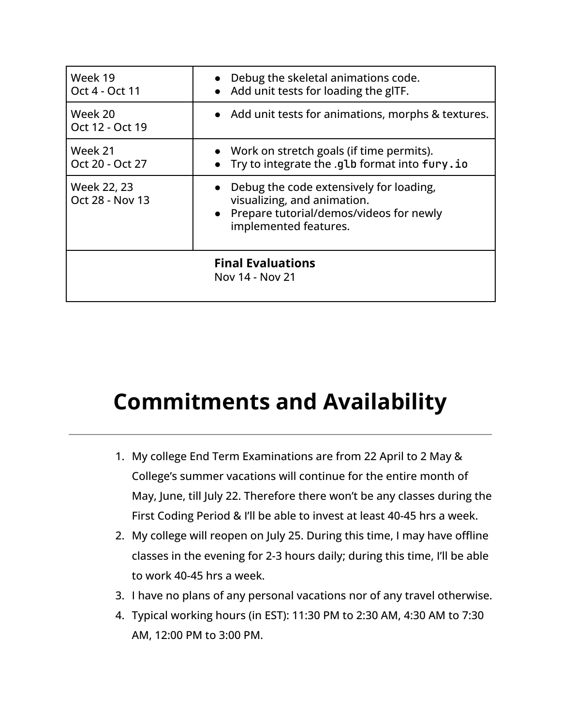| Week 19<br>Oct 4 - Oct 11      | Debug the skeletal animations code.<br>$\bullet$<br>Add unit tests for loading the gITF.<br>$\bullet$                                                   |
|--------------------------------|---------------------------------------------------------------------------------------------------------------------------------------------------------|
| Week 20<br>Oct 12 - Oct 19     | • Add unit tests for animations, morphs & textures.                                                                                                     |
| Week 21<br>Oct 20 - Oct 27     | • Work on stretch goals (if time permits).<br>Try to integrate the .glb format into fury.io<br>$\bullet$                                                |
| Week 22, 23<br>Oct 28 - Nov 13 | Debug the code extensively for loading,<br>visualizing, and animation.<br>Prepare tutorial/demos/videos for newly<br>$\bullet$<br>implemented features. |
|                                | <b>Final Evaluations</b><br>Nov 14 - Nov 21                                                                                                             |

## <span id="page-16-0"></span>**Commitments and Availability**

- 1. My college End Term Examinations are from 22 April to 2 May & College's summer vacations will continue for the entire month of May, June, till July 22. Therefore there won't be any classes during the First Coding Period & I'll be able to invest at least 40-45 hrs a week.
- 2. My college will reopen on July 25. During this time, I may have offline classes in the evening for 2-3 hours daily; during this time, I'll be able to work 40-45 hrs a week.
- 3. I have no plans of any personal vacations nor of any travel otherwise.
- 4. Typical working hours (in EST): 11:30 PM to 2:30 AM, 4:30 AM to 7:30 AM, 12:00 PM to 3:00 PM.